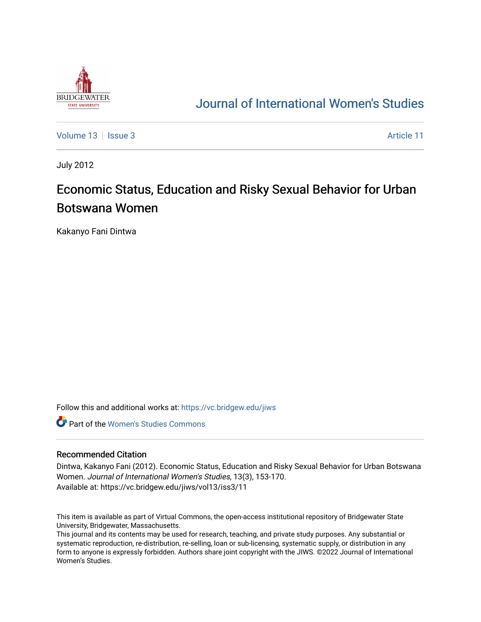

## [Journal of International Women's Studies](https://vc.bridgew.edu/jiws)

[Volume 13](https://vc.bridgew.edu/jiws/vol13) | [Issue 3](https://vc.bridgew.edu/jiws/vol13/iss3) Article 11

July 2012

# Economic Status, Education and Risky Sexual Behavior for Urban Botswana Women

Kakanyo Fani Dintwa

Follow this and additional works at: [https://vc.bridgew.edu/jiws](https://vc.bridgew.edu/jiws?utm_source=vc.bridgew.edu%2Fjiws%2Fvol13%2Fiss3%2F11&utm_medium=PDF&utm_campaign=PDFCoverPages)

**C** Part of the Women's Studies Commons

#### Recommended Citation

Dintwa, Kakanyo Fani (2012). Economic Status, Education and Risky Sexual Behavior for Urban Botswana Women. Journal of International Women's Studies, 13(3), 153-170. Available at: https://vc.bridgew.edu/jiws/vol13/iss3/11

This item is available as part of Virtual Commons, the open-access institutional repository of Bridgewater State University, Bridgewater, Massachusetts.

This journal and its contents may be used for research, teaching, and private study purposes. Any substantial or systematic reproduction, re-distribution, re-selling, loan or sub-licensing, systematic supply, or distribution in any form to anyone is expressly forbidden. Authors share joint copyright with the JIWS. ©2022 Journal of International Women's Studies.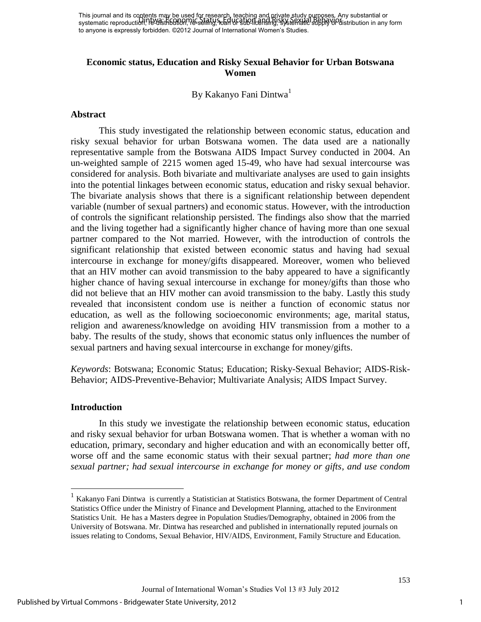## **Economic status, Education and Risky Sexual Behavior for Urban Botswana Women**

By Kakanyo Fani Dintwa<sup>1</sup>

## **Abstract**

 This study investigated the relationship between economic status, education and risky sexual behavior for urban Botswana women. The data used are a nationally representative sample from the Botswana AIDS Impact Survey conducted in 2004. An un-weighted sample of 2215 women aged 15-49, who have had sexual intercourse was considered for analysis. Both bivariate and multivariate analyses are used to gain insights into the potential linkages between economic status, education and risky sexual behavior. The bivariate analysis shows that there is a significant relationship between dependent variable (number of sexual partners) and economic status. However, with the introduction of controls the significant relationship persisted. The findings also show that the married and the living together had a significantly higher chance of having more than one sexual partner compared to the Not married. However, with the introduction of controls the significant relationship that existed between economic status and having had sexual intercourse in exchange for money/gifts disappeared. Moreover, women who believed that an HIV mother can avoid transmission to the baby appeared to have a significantly higher chance of having sexual intercourse in exchange for money/gifts than those who did not believe that an HIV mother can avoid transmission to the baby. Lastly this study revealed that inconsistent condom use is neither a function of economic status nor education, as well as the following socioeconomic environments; age, marital status, religion and awareness/knowledge on avoiding HIV transmission from a mother to a baby. The results of the study, shows that economic status only influences the number of sexual partners and having sexual intercourse in exchange for money/gifts.

*Keywords*: Botswana; Economic Status; Education; Risky-Sexual Behavior; AIDS-Risk-Behavior; AIDS-Preventive-Behavior; Multivariate Analysis; AIDS Impact Survey.

#### **Introduction**

In this study we investigate the relationship between economic status, education and risky sexual behavior for urban Botswana women. That is whether a woman with no education, primary, secondary and higher education and with an economically better off, worse off and the same economic status with their sexual partner; *had more than one sexual partner; had sexual intercourse in exchange for money or gifts, and use condom* 

 1 Kakanyo Fani Dintwa is currently a Statistician at Statistics Botswana, the former Department of Central Statistics Office under the Ministry of Finance and Development Planning, attached to the Environment Statistics Unit. He has a Masters degree in Population Studies/Demography, obtained in 2006 from the University of Botswana. Mr. Dintwa has researched and published in internationally reputed journals on issues relating to Condoms, Sexual Behavior, HIV/AIDS, Environment, Family Structure and Education.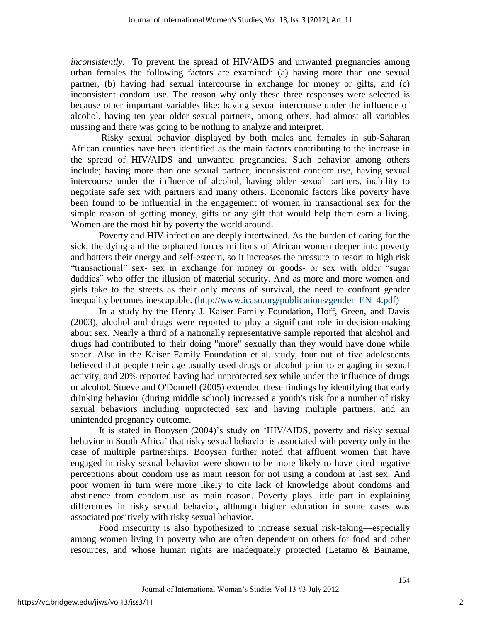*inconsistently*. To prevent the spread of HIV/AIDS and unwanted pregnancies among urban females the following factors are examined: (a) having more than one sexual partner, (b) having had sexual intercourse in exchange for money or gifts, and (c) inconsistent condom use. The reason why only these three responses were selected is because other important variables like; having sexual intercourse under the influence of alcohol, having ten year older sexual partners, among others, had almost all variables missing and there was going to be nothing to analyze and interpret.

Risky sexual behavior displayed by both males and females in sub-Saharan African counties have been identified as the main factors contributing to the increase in the spread of HIV/AIDS and unwanted pregnancies. Such behavior among others include; having more than one sexual partner, inconsistent condom use, having sexual intercourse under the influence of alcohol, having older sexual partners, inability to negotiate safe sex with partners and many others. Economic factors like poverty have been found to be influential in the engagement of women in transactional sex for the simple reason of getting money, gifts or any gift that would help them earn a living. Women are the most hit by poverty the world around.

Poverty and HIV infection are deeply intertwined. As the burden of caring for the sick, the dying and the orphaned forces millions of African women deeper into poverty and batters their energy and self-esteem, so it increases the pressure to resort to high risk "transactional" sex- sex in exchange for money or goods- or sex with older "sugar daddies" who offer the illusion of material security. And as more and more women and girls take to the streets as their only means of survival, the need to confront gender inequality becomes inescapable. [\(http://www.icaso.org/publications/gender\\_EN\\_4.pdf\)](http://www.icaso.org/publications/gender_EN_4.pdf)

In a study by the Henry J. Kaiser Family Foundation, Hoff, Green, and Davis (2003), alcohol and drugs were reported to play a significant role in decision-making about sex. Nearly a third of a nationally representative sample reported that alcohol and drugs had contributed to their doing "more" sexually than they would have done while sober. Also in the Kaiser Family Foundation et al. study, four out of five adolescents believed that people their age usually used drugs or alcohol prior to engaging in sexual activity, and 20% reported having had unprotected sex while under the influence of drugs or alcohol. Stueve and O'Donnell (2005) extended these findings by identifying that early drinking behavior (during middle school) increased a youth's risk for a number of risky sexual behaviors including unprotected sex and having multiple partners, and an unintended pregnancy outcome.

It is stated in Booysen (2004)'s study on 'HIV/AIDS, poverty and risky sexual behavior in South Africa' that risky sexual behavior is associated with poverty only in the case of multiple partnerships. Booysen further noted that affluent women that have engaged in risky sexual behavior were shown to be more likely to have cited negative perceptions about condom use as main reason for not using a condom at last sex. And poor women in turn were more likely to cite lack of knowledge about condoms and abstinence from condom use as main reason. Poverty plays little part in explaining differences in risky sexual behavior, although higher education in some cases was associated positively with risky sexual behavior.

Food insecurity is also hypothesized to increase sexual risk-taking—especially among women living in poverty who are often dependent on others for food and other resources, and whose human rights are inadequately protected (Letamo & Bainame,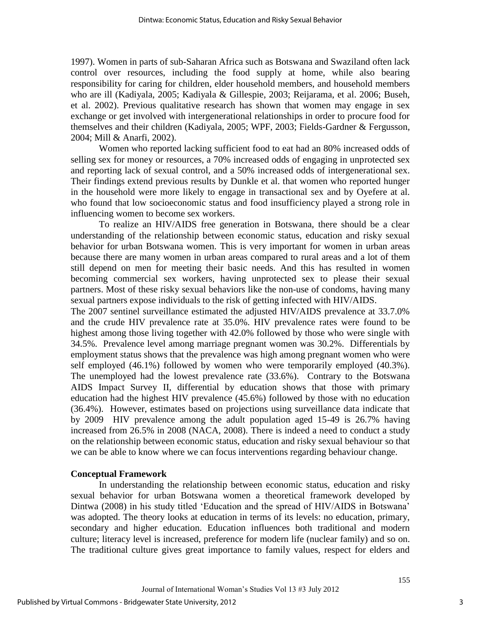1997). Women in parts of sub-Saharan Africa such as Botswana and Swaziland often lack control over resources, including the food supply at home, while also bearing responsibility for caring for children, elder household members, and household members who are ill (Kadiyala, 2005; Kadiyala & Gillespie, 2003; Reijarama, et al. 2006; Buseh, et al. 2002). Previous qualitative research has shown that women may engage in sex exchange or get involved with intergenerational relationships in order to procure food for themselves and their children (Kadiyala, 2005; WPF, 2003; Fields-Gardner & Fergusson, 2004; Mill & Anarfi, 2002).

Women who reported lacking sufficient food to eat had an 80% increased odds of selling sex for money or resources, a 70% increased odds of engaging in unprotected sex and reporting lack of sexual control, and a 50% increased odds of intergenerational sex. Their findings extend previous results by Dunkle et al. that women who reported hunger in the household were more likely to engage in transactional sex and by Oyefere at al. who found that low socioeconomic status and food insufficiency played a strong role in influencing women to become sex workers.

 To realize an HIV/AIDS free generation in Botswana, there should be a clear understanding of the relationship between economic status, education and risky sexual behavior for urban Botswana women. This is very important for women in urban areas because there are many women in urban areas compared to rural areas and a lot of them still depend on men for meeting their basic needs. And this has resulted in women becoming commercial sex workers, having unprotected sex to please their sexual partners. Most of these risky sexual behaviors like the non-use of condoms, having many sexual partners expose individuals to the risk of getting infected with HIV/AIDS.

The 2007 sentinel surveillance estimated the adjusted HIV/AIDS prevalence at 33.7.0% and the crude HIV prevalence rate at 35.0%. HIV prevalence rates were found to be highest among those living together with 42.0% followed by those who were single with 34.5%. Prevalence level among marriage pregnant women was 30.2%. Differentials by employment status shows that the prevalence was high among pregnant women who were self employed (46.1%) followed by women who were temporarily employed (40.3%). The unemployed had the lowest prevalence rate (33.6%). Contrary to the Botswana AIDS Impact Survey II, differential by education shows that those with primary education had the highest HIV prevalence (45.6%) followed by those with no education (36.4%). However, estimates based on projections using surveillance data indicate that by 2009 HIV prevalence among the adult population aged 15-49 is 26.7% having increased from 26.5% in 2008 (NACA, 2008). There is indeed a need to conduct a study on the relationship between economic status, education and risky sexual behaviour so that we can be able to know where we can focus interventions regarding behaviour change.

## **Conceptual Framework**

In understanding the relationship between economic status, education and risky sexual behavior for urban Botswana women a theoretical framework developed by Dintwa (2008) in his study titled 'Education and the spread of HIV/AIDS in Botswana' was adopted. The theory looks at education in terms of its levels: no education, primary, secondary and higher education. Education influences both traditional and modern culture; literacy level is increased, preference for modern life (nuclear family) and so on. The traditional culture gives great importance to family values, respect for elders and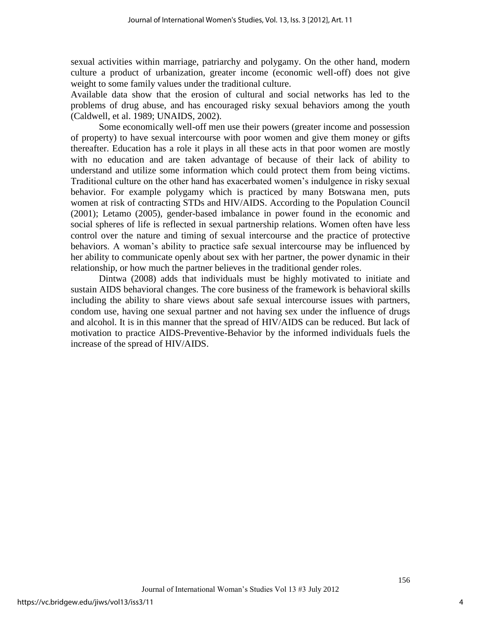sexual activities within marriage, patriarchy and polygamy. On the other hand, modern culture a product of urbanization, greater income (economic well-off) does not give weight to some family values under the traditional culture.

Available data show that the erosion of cultural and social networks has led to the problems of drug abuse, and has encouraged risky sexual behaviors among the youth (Caldwell, et al. 1989; UNAIDS, 2002).

Some economically well-off men use their powers (greater income and possession of property) to have sexual intercourse with poor women and give them money or gifts thereafter. Education has a role it plays in all these acts in that poor women are mostly with no education and are taken advantage of because of their lack of ability to understand and utilize some information which could protect them from being victims. Traditional culture on the other hand has exacerbated women's indulgence in risky sexual behavior. For example polygamy which is practiced by many Botswana men, puts women at risk of contracting STDs and HIV/AIDS. According to the Population Council (2001); Letamo (2005), gender-based imbalance in power found in the economic and social spheres of life is reflected in sexual partnership relations. Women often have less control over the nature and timing of sexual intercourse and the practice of protective behaviors. A woman's ability to practice safe sexual intercourse may be influenced by her ability to communicate openly about sex with her partner, the power dynamic in their relationship, or how much the partner believes in the traditional gender roles.

Dintwa (2008) adds that individuals must be highly motivated to initiate and sustain AIDS behavioral changes. The core business of the framework is behavioral skills including the ability to share views about safe sexual intercourse issues with partners, condom use, having one sexual partner and not having sex under the influence of drugs and alcohol. It is in this manner that the spread of HIV/AIDS can be reduced. But lack of motivation to practice AIDS-Preventive-Behavior by the informed individuals fuels the increase of the spread of HIV/AIDS.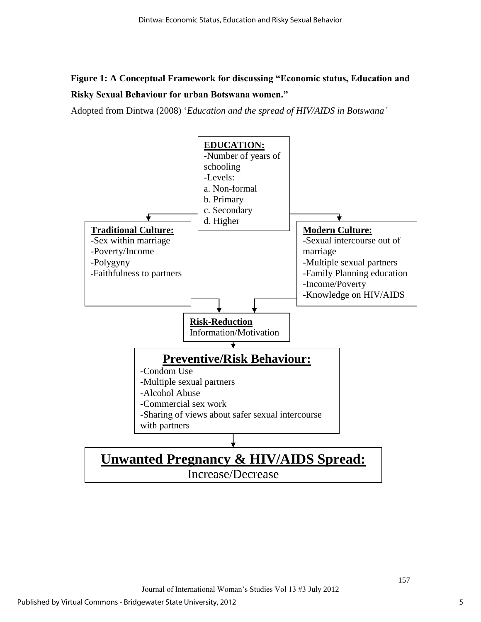## **Figure 1: A Conceptual Framework for discussing "Economic status, Education and Risky Sexual Behaviour for urban Botswana women."**

Adopted from Dintwa (2008) ‗*Education and the spread of HIV/AIDS in Botswana'*

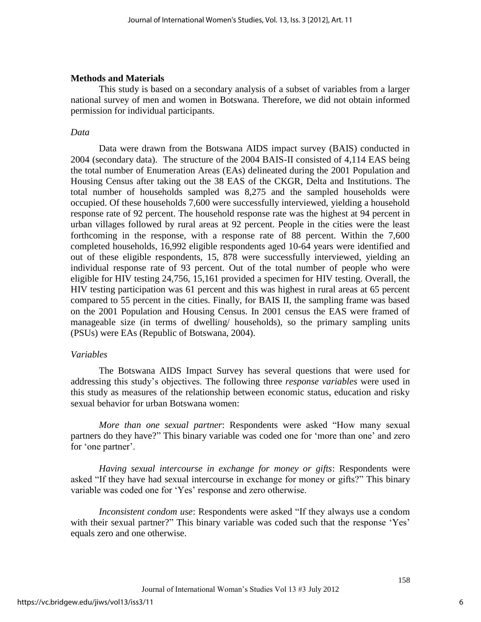## **Methods and Materials**

This study is based on a secondary analysis of a subset of variables from a larger national survey of men and women in Botswana. Therefore, we did not obtain informed permission for individual participants.

## *Data*

Data were drawn from the Botswana AIDS impact survey (BAIS) conducted in 2004 (secondary data). The structure of the 2004 BAIS-II consisted of 4,114 EAS being the total number of Enumeration Areas (EAs) delineated during the 2001 Population and Housing Census after taking out the 38 EAS of the CKGR, Delta and Institutions. The total number of households sampled was 8,275 and the sampled households were occupied. Of these households 7,600 were successfully interviewed, yielding a household response rate of 92 percent. The household response rate was the highest at 94 percent in urban villages followed by rural areas at 92 percent. People in the cities were the least forthcoming in the response, with a response rate of 88 percent. Within the 7,600 completed households, 16,992 eligible respondents aged 10-64 years were identified and out of these eligible respondents, 15, 878 were successfully interviewed, yielding an individual response rate of 93 percent. Out of the total number of people who were eligible for HIV testing 24,756, 15,161 provided a specimen for HIV testing. Overall, the HIV testing participation was 61 percent and this was highest in rural areas at 65 percent compared to 55 percent in the cities. Finally, for BAIS II, the sampling frame was based on the 2001 Population and Housing Census. In 2001 census the EAS were framed of manageable size (in terms of dwelling/ households), so the primary sampling units (PSUs) were EAs (Republic of Botswana, 2004).

## *Variables*

The Botswana AIDS Impact Survey has several questions that were used for addressing this study's objectives. The following three *response variables* were used in this study as measures of the relationship between economic status, education and risky sexual behavior for urban Botswana women:

*More than one sexual partner*: Respondents were asked "How many sexual partners do they have?" This binary variable was coded one for 'more than one' and zero for 'one partner'.

*Having sexual intercourse in exchange for money or gifts*: Respondents were asked "If they have had sexual intercourse in exchange for money or gifts?" This binary variable was coded one for 'Yes' response and zero otherwise.

*Inconsistent condom use*: Respondents were asked "If they always use a condom with their sexual partner?" This binary variable was coded such that the response 'Yes' equals zero and one otherwise.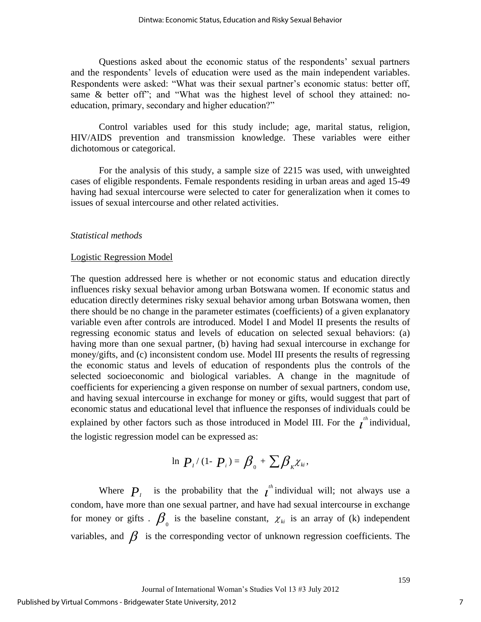Questions asked about the economic status of the respondents' sexual partners and the respondents' levels of education were used as the main independent variables. Respondents were asked: "What was their sexual partner's economic status: better off, same  $\&$  better off"; and "What was the highest level of school they attained: noeducation, primary, secondary and higher education?"

Control variables used for this study include; age, marital status, religion, HIV/AIDS prevention and transmission knowledge. These variables were either dichotomous or categorical.

For the analysis of this study, a sample size of 2215 was used, with unweighted cases of eligible respondents. Female respondents residing in urban areas and aged 15-49 having had sexual intercourse were selected to cater for generalization when it comes to issues of sexual intercourse and other related activities.

## *Statistical methods*

#### Logistic Regression Model

The question addressed here is whether or not economic status and education directly influences risky sexual behavior among urban Botswana women. If economic status and education directly determines risky sexual behavior among urban Botswana women, then there should be no change in the parameter estimates (coefficients) of a given explanatory variable even after controls are introduced. Model I and Model II presents the results of regressing economic status and levels of education on selected sexual behaviors: (a) having more than one sexual partner, (b) having had sexual intercourse in exchange for money/gifts, and (c) inconsistent condom use. Model III presents the results of regressing the economic status and levels of education of respondents plus the controls of the selected socioeconomic and biological variables. A change in the magnitude of coefficients for experiencing a given response on number of sexual partners, condom use, and having sexual intercourse in exchange for money or gifts, would suggest that part of economic status and educational level that influence the responses of individuals could be explained by other factors such as those introduced in Model III. For the  $t^{th}$  individual, the logistic regression model can be expressed as:

$$
\ln P_i/(1-P_i) = \beta_0 + \sum \beta_k \chi_k,
$$

Where  $P_i$  is the probability that the  $i^{th}$  individual will; not always use a condom, have more than one sexual partner, and have had sexual intercourse in exchange for money or gifts .  $\beta_{0}$  is the baseline constant,  $\chi_{ki}$  is an array of (k) independent variables, and  $\beta$  is the corresponding vector of unknown regression coefficients. The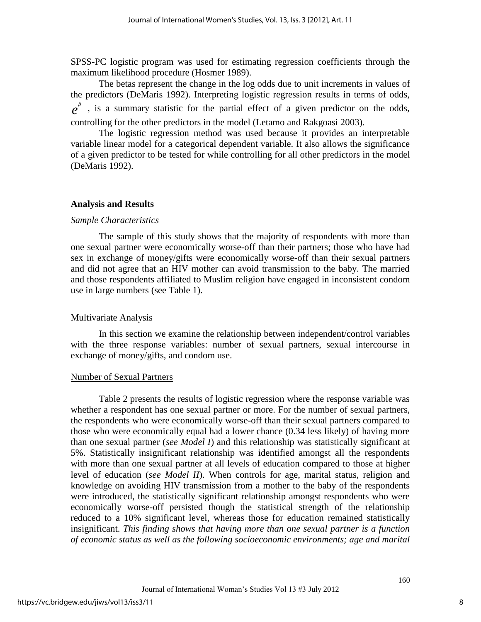SPSS-PC logistic program was used for estimating regression coefficients through the maximum likelihood procedure (Hosmer 1989).

 The betas represent the change in the log odds due to unit increments in values of the predictors (DeMaris 1992). Interpreting logistic regression results in terms of odds,  $e^{\beta}$ , is a summary statistic for the partial effect of a given predictor on the odds, controlling for the other predictors in the model (Letamo and Rakgoasi 2003).

The logistic regression method was used because it provides an interpretable variable linear model for a categorical dependent variable. It also allows the significance of a given predictor to be tested for while controlling for all other predictors in the model (DeMaris 1992).

## **Analysis and Results**

## *Sample Characteristics*

The sample of this study shows that the majority of respondents with more than one sexual partner were economically worse-off than their partners; those who have had sex in exchange of money/gifts were economically worse-off than their sexual partners and did not agree that an HIV mother can avoid transmission to the baby. The married and those respondents affiliated to Muslim religion have engaged in inconsistent condom use in large numbers (see Table 1).

## Multivariate Analysis

In this section we examine the relationship between independent/control variables with the three response variables: number of sexual partners, sexual intercourse in exchange of money/gifts, and condom use.

## Number of Sexual Partners

Table 2 presents the results of logistic regression where the response variable was whether a respondent has one sexual partner or more. For the number of sexual partners, the respondents who were economically worse-off than their sexual partners compared to those who were economically equal had a lower chance (0.34 less likely) of having more than one sexual partner (*see Model I*) and this relationship was statistically significant at 5%. Statistically insignificant relationship was identified amongst all the respondents with more than one sexual partner at all levels of education compared to those at higher level of education (*see Model II*). When controls for age, marital status, religion and knowledge on avoiding HIV transmission from a mother to the baby of the respondents were introduced, the statistically significant relationship amongst respondents who were economically worse-off persisted though the statistical strength of the relationship reduced to a 10% significant level, whereas those for education remained statistically insignificant. *This finding shows that having more than one sexual partner is a function of economic status as well as the following socioeconomic environments; age and marital*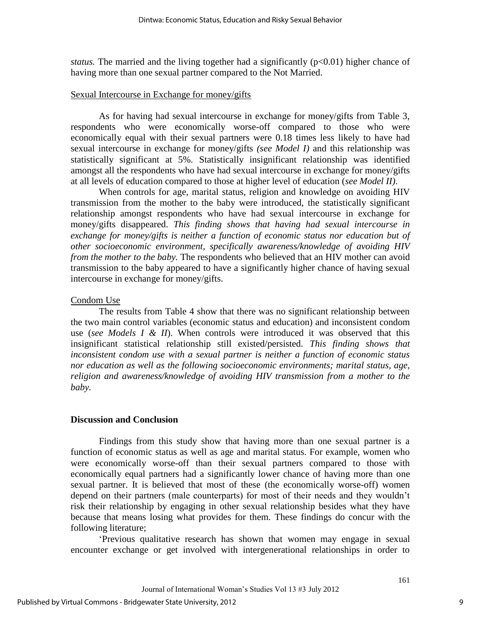*status.* The married and the living together had a significantly  $(p<0.01)$  higher chance of having more than one sexual partner compared to the Not Married.

## Sexual Intercourse in Exchange for money/gifts

As for having had sexual intercourse in exchange for money/gifts from Table 3, respondents who were economically worse-off compared to those who were economically equal with their sexual partners were 0.18 times less likely to have had sexual intercourse in exchange for money/gifts *(see Model I)* and this relationship was statistically significant at 5%. Statistically insignificant relationship was identified amongst all the respondents who have had sexual intercourse in exchange for money/gifts at all levels of education compared to those at higher level of education (*see Model II)*.

When controls for age, marital status, religion and knowledge on avoiding HIV transmission from the mother to the baby were introduced, the statistically significant relationship amongst respondents who have had sexual intercourse in exchange for money/gifts disappeared. *This finding shows that having had sexual intercourse in exchange for money/gifts is neither a function of economic status nor education but of other socioeconomic environment, specifically awareness/knowledge of avoiding HIV from the mother to the baby.* The respondents who believed that an HIV mother can avoid transmission to the baby appeared to have a significantly higher chance of having sexual intercourse in exchange for money/gifts.

## Condom Use

The results from Table 4 show that there was no significant relationship between the two main control variables (economic status and education) and inconsistent condom use (*see Models I & II*). When controls were introduced it was observed that this insignificant statistical relationship still existed/persisted. *This finding shows that inconsistent condom use with a sexual partner is neither a function of economic status nor education as well as the following socioeconomic environments; marital status, age, religion and awareness/knowledge of avoiding HIV transmission from a mother to the baby.* 

## **Discussion and Conclusion**

Findings from this study show that having more than one sexual partner is a function of economic status as well as age and marital status. For example, women who were economically worse-off than their sexual partners compared to those with economically equal partners had a significantly lower chance of having more than one sexual partner. It is believed that most of these (the economically worse-off) women depend on their partners (male counterparts) for most of their needs and they wouldn't risk their relationship by engaging in other sexual relationship besides what they have because that means losing what provides for them. These findings do concur with the following literature;

‗Previous qualitative research has shown that women may engage in sexual encounter exchange or get involved with intergenerational relationships in order to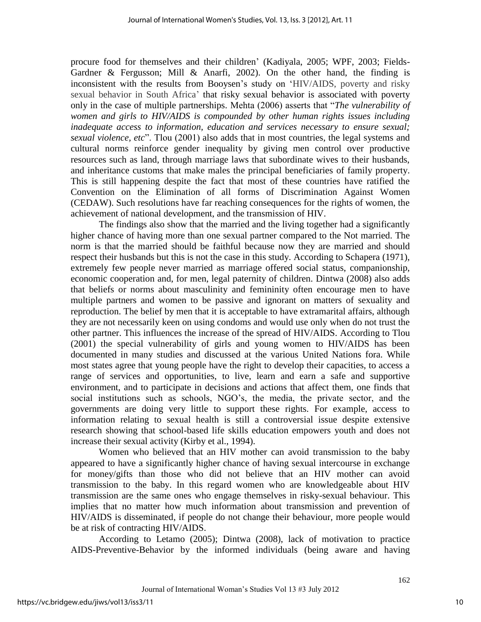procure food for themselves and their children' (Kadiyala, 2005; WPF, 2003; Fields-Gardner & Fergusson; Mill & Anarfi, 2002). On the other hand, the finding is inconsistent with the results from Booysen's study on ‗HIV/AIDS, poverty and risky sexual behavior in South Africa' that risky sexual behavior is associated with poverty only in the case of multiple partnerships. Mehta (2006) asserts that "*The vulnerability of women and girls to HIV/AIDS is compounded by other human rights issues including inadequate access to information, education and services necessary to ensure sexual; sexual violence, etc*". Tlou (2001) also adds that in most countries, the legal systems and cultural norms reinforce gender inequality by giving men control over productive resources such as land, through marriage laws that subordinate wives to their husbands, and inheritance customs that make males the principal beneficiaries of family property. This is still happening despite the fact that most of these countries have ratified the Convention on the Elimination of all forms of Discrimination Against Women (CEDAW). Such resolutions have far reaching consequences for the rights of women, the achievement of national development, and the transmission of HIV.

The findings also show that the married and the living together had a significantly higher chance of having more than one sexual partner compared to the Not married. The norm is that the married should be faithful because now they are married and should respect their husbands but this is not the case in this study. According to Schapera (1971), extremely few people never married as marriage offered social status, companionship, economic cooperation and, for men, legal paternity of children. Dintwa (2008) also adds that beliefs or norms about masculinity and femininity often encourage men to have multiple partners and women to be passive and ignorant on matters of sexuality and reproduction. The belief by men that it is acceptable to have extramarital affairs, although they are not necessarily keen on using condoms and would use only when do not trust the other partner. This influences the increase of the spread of HIV/AIDS. According to Tlou (2001) the special vulnerability of girls and young women to HIV/AIDS has been documented in many studies and discussed at the various United Nations fora. While most states agree that young people have the right to develop their capacities, to access a range of services and opportunities, to live, learn and earn a safe and supportive environment, and to participate in decisions and actions that affect them, one finds that social institutions such as schools, NGO's, the media, the private sector, and the governments are doing very little to support these rights. For example, access to information relating to sexual health is still a controversial issue despite extensive research showing that school-based life skills education empowers youth and does not increase their sexual activity (Kirby et al., 1994).

Women who believed that an HIV mother can avoid transmission to the baby appeared to have a significantly higher chance of having sexual intercourse in exchange for money/gifts than those who did not believe that an HIV mother can avoid transmission to the baby. In this regard women who are knowledgeable about HIV transmission are the same ones who engage themselves in risky-sexual behaviour. This implies that no matter how much information about transmission and prevention of HIV/AIDS is disseminated, if people do not change their behaviour, more people would be at risk of contracting HIV/AIDS.

According to Letamo (2005); Dintwa (2008), lack of motivation to practice AIDS-Preventive-Behavior by the informed individuals (being aware and having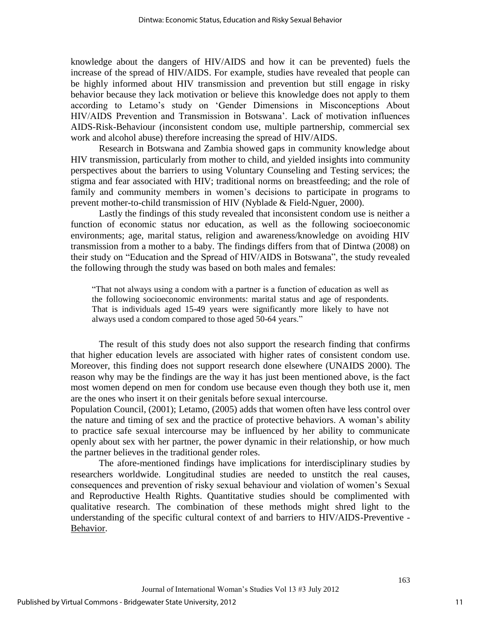knowledge about the dangers of HIV/AIDS and how it can be prevented) fuels the increase of the spread of HIV/AIDS. For example, studies have revealed that people can be highly informed about HIV transmission and prevention but still engage in risky behavior because they lack motivation or believe this knowledge does not apply to them according to Letamo's study on 'Gender Dimensions in Misconceptions About HIV/AIDS Prevention and Transmission in Botswana'. Lack of motivation influences AIDS-Risk-Behaviour (inconsistent condom use, multiple partnership, commercial sex work and alcohol abuse) therefore increasing the spread of HIV/AIDS.

Research in Botswana and Zambia showed gaps in community knowledge about HIV transmission, particularly from mother to child, and yielded insights into community perspectives about the barriers to using Voluntary Counseling and Testing services; the stigma and fear associated with HIV; traditional norms on breastfeeding; and the role of family and community members in women's decisions to participate in programs to prevent mother-to-child transmission of HIV (Nyblade & Field-Nguer, 2000).

Lastly the findings of this study revealed that inconsistent condom use is neither a function of economic status nor education, as well as the following socioeconomic environments; age, marital status, religion and awareness/knowledge on avoiding HIV transmission from a mother to a baby. The findings differs from that of Dintwa (2008) on their study on "Education and the Spread of HIV/AIDS in Botswana", the study revealed the following through the study was based on both males and females:

―That not always using a condom with a partner is a function of education as well as the following socioeconomic environments: marital status and age of respondents. That is individuals aged 15-49 years were significantly more likely to have not always used a condom compared to those aged 50-64 years."

The result of this study does not also support the research finding that confirms that higher education levels are associated with higher rates of consistent condom use. Moreover, this finding does not support research done elsewhere (UNAIDS 2000). The reason why may be the findings are the way it has just been mentioned above, is the fact most women depend on men for condom use because even though they both use it, men are the ones who insert it on their genitals before sexual intercourse.

Population Council, (2001); Letamo, (2005) adds that women often have less control over the nature and timing of sex and the practice of protective behaviors. A woman's ability to practice safe sexual intercourse may be influenced by her ability to communicate openly about sex with her partner, the power dynamic in their relationship, or how much the partner believes in the traditional gender roles.

The afore-mentioned findings have implications for interdisciplinary studies by researchers worldwide. Longitudinal studies are needed to unstitch the real causes, consequences and prevention of risky sexual behaviour and violation of women's Sexual and Reproductive Health Rights. Quantitative studies should be complimented with qualitative research. The combination of these methods might shred light to the understanding of the specific cultural context of and barriers to HIV/AIDS-Preventive - Behavior.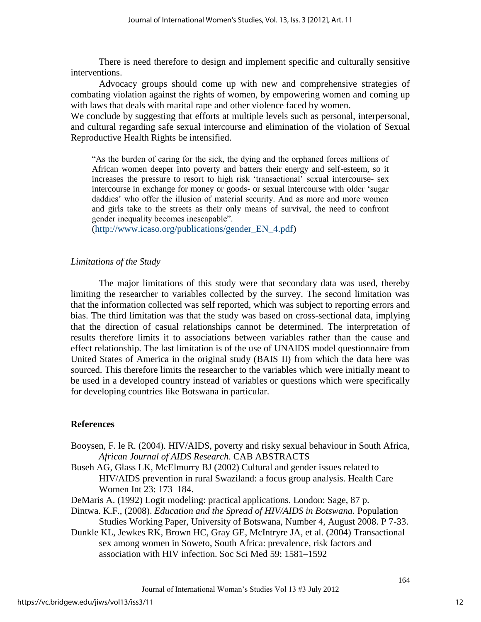There is need therefore to design and implement specific and culturally sensitive interventions.

 Advocacy groups should come up with new and comprehensive strategies of combating violation against the rights of women, by empowering women and coming up with laws that deals with marital rape and other violence faced by women.

We conclude by suggesting that efforts at multiple levels such as personal, interpersonal, and cultural regarding safe sexual intercourse and elimination of the violation of Sexual Reproductive Health Rights be intensified.

―As the burden of caring for the sick, the dying and the orphaned forces millions of African women deeper into poverty and batters their energy and self-esteem, so it increases the pressure to resort to high risk ‗transactional' sexual intercourse- sex intercourse in exchange for money or goods- or sexual intercourse with older 'sugar daddies' who offer the illusion of material security. And as more and more women and girls take to the streets as their only means of survival, the need to confront gender inequality becomes inescapable".

[\(http://www.icaso.org/publications/gender\\_EN\\_4.pdf\)](http://www.icaso.org/publications/gender_EN_4.pdf)

## *Limitations of the Study*

The major limitations of this study were that secondary data was used, thereby limiting the researcher to variables collected by the survey. The second limitation was that the information collected was self reported, which was subject to reporting errors and bias. The third limitation was that the study was based on cross-sectional data, implying that the direction of casual relationships cannot be determined. The interpretation of results therefore limits it to associations between variables rather than the cause and effect relationship. The last limitation is of the use of UNAIDS model questionnaire from United States of America in the original study (BAIS II) from which the data here was sourced. This therefore limits the researcher to the variables which were initially meant to be used in a developed country instead of variables or questions which were specifically for developing countries like Botswana in particular.

## **References**

- Booysen, F. le R. (2004). HIV/AIDS, poverty and risky sexual behaviour in South Africa, *African Journal of AIDS Research*. CAB ABSTRACTS
- Buseh AG, Glass LK, McElmurry BJ (2002) Cultural and gender issues related to HIV/AIDS prevention in rural Swaziland: a focus group analysis. Health Care Women Int 23: 173–184.
- DeMaris A. (1992) Logit modeling: practical applications. London: Sage, 87 p.
- Dintwa. K.F., (2008). *Education and the Spread of HIV/AIDS in Botswana.* Population Studies Working Paper, University of Botswana, Number 4, August 2008. P 7-33.
- Dunkle KL, Jewkes RK, Brown HC, Gray GE, McIntryre JA, et al. (2004) Transactional sex among women in Soweto, South Africa: prevalence, risk factors and association with HIV infection. Soc Sci Med 59: 1581–1592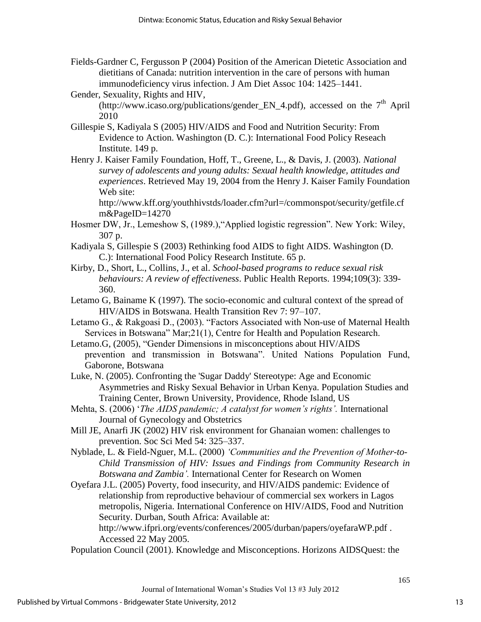Fields-Gardner C, Fergusson P (2004) Position of the American Dietetic Association and dietitians of Canada: nutrition intervention in the care of persons with human immunodeficiency virus infection. J Am Diet Assoc 104: 1425–1441.

Gender, Sexuality, Rights and HIV, [\(http://www.icaso.org/publications/gender\\_EN\\_4.pdf\)](http://www.icaso.org/publications/gender_EN_4.pdf), accessed on the  $7<sup>th</sup>$  April 2010

- Gillespie S, Kadiyala S (2005) HIV/AIDS and Food and Nutrition Security: From Evidence to Action. Washington (D. C.): International Food Policy Reseach Institute. 149 p.
- Henry J. Kaiser Family Foundation, Hoff, T., Greene, L., & Davis, J. (2003). *National survey of adolescents and young adults: Sexual health knowledge, attitudes and experiences*. Retrieved May 19, 2004 from the Henry J. Kaiser Family Foundation Web site:

[http://www.kff.org/youthhivstds/loader.cfm?url=/commonspot/security/getfile.cf](http://www.kff.org/youthhivstds/loader.cfm?url=/commonspot/security/getfile.cfm&PageID=14270) [m&PageID=14270](http://www.kff.org/youthhivstds/loader.cfm?url=/commonspot/security/getfile.cfm&PageID=14270) 

- Hosmer DW, Jr., Lemeshow S, (1989.), "Applied logistic regression". New York: Wiley, 307 p.
- Kadiyala S, Gillespie S (2003) Rethinking food AIDS to fight AIDS. Washington (D. C.): International Food Policy Research Institute. 65 p.
- Kirby, D., Short, L., Collins, J., et al. *School-based programs to reduce sexual risk behaviours: A review of effectiveness*. Public Health Reports. 1994;109(3): 339- 360.
- Letamo G, Bainame K (1997). The socio-economic and cultural context of the spread of HIV/AIDS in Botswana. Health Transition Rev 7: 97–107.

Letamo G., & Rakgoasi D., (2003). "Factors Associated with Non-use of Maternal Health Services in Botswana" Mar; 21(1), Centre for Health and Population Research.

- Letamo.G, (2005), "Gender Dimensions in misconceptions about HIV/AIDS prevention and transmission in Botswana". United Nations Population Fund, Gaborone, Botswana
- Luke, N. (2005). Confronting the 'Sugar Daddy' Stereotype: Age and Economic Asymmetries and Risky Sexual Behavior in Urban Kenya. Population Studies and Training Center, Brown University, Providence, Rhode Island, US
- Mehta, S. (2006) '*The AIDS pandemic; A catalyst for women's rights'*. International Journal of Gynecology and Obstetrics
- Mill JE, Anarfi JK (2002) HIV risk environment for Ghanaian women: challenges to prevention. Soc Sci Med 54: 325–337.
- Nyblade, L. & Field-Nguer, M.L. (2000) *'Communities and the Prevention of Mother-to-Child Transmission of HIV: Issues and Findings from Community Research in Botswana and Zambia'.* International Center for Research on Women

Oyefara J.L. (2005) Poverty, food insecurity, and HIV/AIDS pandemic: Evidence of relationship from reproductive behaviour of commercial sex workers in Lagos metropolis, Nigeria. International Conference on HIV/AIDS, Food and Nutrition Security. Durban, South Africa: Available at:

[http://www.ifpri.org/events/conferences/2005/durban/papers/oyefaraWP.pdf .](http://www.ifpri.org/events/conferences/2005/durban/papers/oyefaraWP.pdf) Accessed 22 May 2005.

Population Council (2001). Knowledge and Misconceptions. Horizons AIDSQuest: the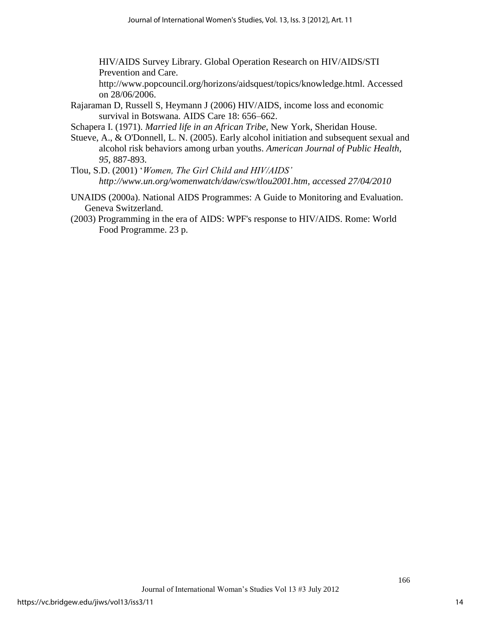HIV/AIDS Survey Library. Global Operation Research on HIV/AIDS/STI Prevention and Care.

[http://www.popcouncil.org/horizons/aidsquest/topics/knowledge.html. Accessed](http://www.popcouncil.org/horizons/aidsquest/topics/knowledge.html.%20Accessed%20on%2028/06/2006)  [on 28/06/2006.](http://www.popcouncil.org/horizons/aidsquest/topics/knowledge.html.%20Accessed%20on%2028/06/2006)

Rajaraman D, Russell S, Heymann J (2006) HIV/AIDS, income loss and economic survival in Botswana. AIDS Care 18: 656–662.

Schapera I. (1971). *Married life in an African Tribe*, New York, Sheridan House.

- Stueve, A., & O'Donnell, L. N. (2005). Early alcohol initiation and subsequent sexual and alcohol risk behaviors among urban youths. *American Journal of Public Health, 95*, 887-893.
- Tlou, S.D. (2001) ‗*Women, The Girl Child and HIV/AIDS' [http://www.un.org/womenwatch/daw/csw/tlou2001.htm,](http://www.un.org/womenwatch/daw/csw/tlou2001.htm) accessed 27/04/2010*
- UNAIDS (2000a). National AIDS Programmes: A Guide to Monitoring and Evaluation. Geneva Switzerland.
- (2003) Programming in the era of AIDS: WPF's response to HIV/AIDS. Rome: World Food Programme. 23 p.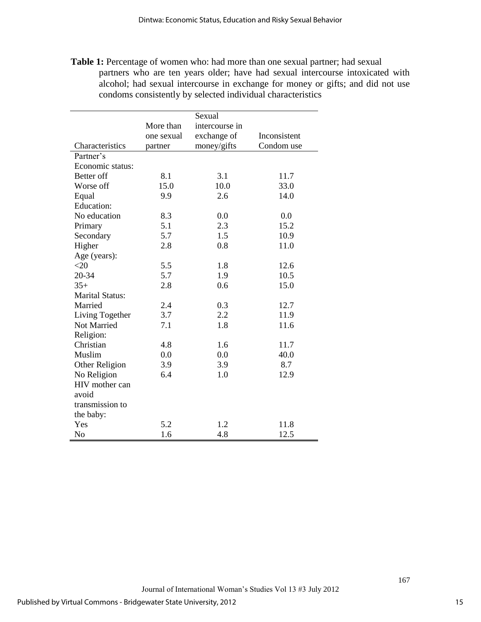**Table 1:** Percentage of women who: had more than one sexual partner; had sexual partners who are ten years older; have had sexual intercourse intoxicated with alcohol; had sexual intercourse in exchange for money or gifts; and did not use condoms consistently by selected individual characteristics

|                        |            | Sexual         |              |  |
|------------------------|------------|----------------|--------------|--|
|                        | More than  | intercourse in |              |  |
|                        | one sexual | exchange of    | Inconsistent |  |
| Characteristics        | partner    | money/gifts    | Condom use   |  |
| Partner's              |            |                |              |  |
| Economic status:       |            |                |              |  |
| Better off             | 8.1        | 3.1            | 11.7         |  |
| Worse off              | 15.0       | 10.0           | 33.0         |  |
| Equal                  | 9.9        | 2.6            | 14.0         |  |
| <b>Education:</b>      |            |                |              |  |
| No education           | 8.3        | 0.0            | 0.0          |  |
| Primary                | 5.1        | 2.3            | 15.2         |  |
| Secondary              | 5.7        | 1.5            | 10.9         |  |
| Higher                 | 2.8        | 0.8            | 11.0         |  |
| Age (years):           |            |                |              |  |
| $<$ 20                 | 5.5        | 1.8            | 12.6         |  |
| 20-34                  | 5.7        | 1.9            | 10.5         |  |
| $35+$                  | 2.8        | 0.6            | 15.0         |  |
| <b>Marital Status:</b> |            |                |              |  |
| Married                | 2.4        | 0.3            | 12.7         |  |
| Living Together        | 3.7        | 2.2            | 11.9         |  |
| Not Married            | 7.1        | 1.8            | 11.6         |  |
| Religion:              |            |                |              |  |
| Christian              | 4.8        | 1.6            | 11.7         |  |
| Muslim                 | 0.0        | 0.0            | 40.0         |  |
| Other Religion         | 3.9        | 3.9            | 8.7          |  |
| No Religion            | 6.4        | 1.0            | 12.9         |  |
| HIV mother can         |            |                |              |  |
| avoid                  |            |                |              |  |
| transmission to        |            |                |              |  |
| the baby:              |            |                |              |  |
| Yes                    | 5.2        | 1.2            | 11.8         |  |
| No                     | 1.6        | 4.8            | 12.5         |  |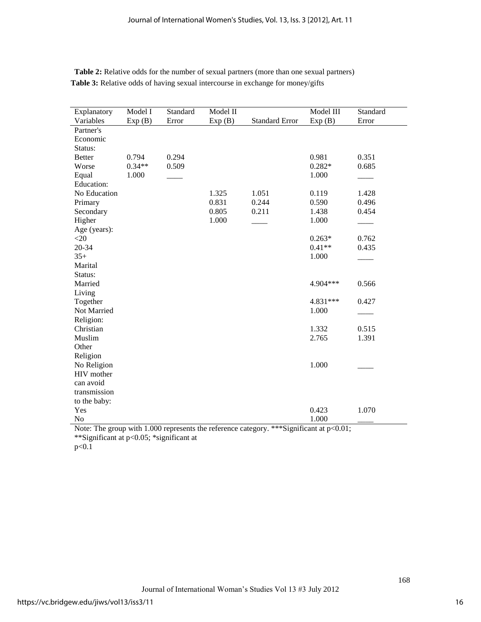| Explanatory   | Model I  | Standard | Model II |                       | Model III | Standard |
|---------------|----------|----------|----------|-----------------------|-----------|----------|
| Variables     | Exp(B)   | Error    | Exp(B)   | <b>Standard Error</b> | Exp(B)    | Error    |
| Partner's     |          |          |          |                       |           |          |
| Economic      |          |          |          |                       |           |          |
| Status:       |          |          |          |                       |           |          |
| <b>Better</b> | 0.794    | 0.294    |          |                       | 0.981     | 0.351    |
| Worse         | $0.34**$ | 0.509    |          |                       | $0.282*$  | 0.685    |
| Equal         | 1.000    |          |          |                       | 1.000     |          |
| Education:    |          |          |          |                       |           |          |
| No Education  |          |          | 1.325    | 1.051                 | 0.119     | 1.428    |
| Primary       |          |          | 0.831    | 0.244                 | 0.590     | 0.496    |
| Secondary     |          |          | 0.805    | 0.211                 | 1.438     | 0.454    |
| Higher        |          |          | 1.000    |                       | 1.000     |          |
| Age (years):  |          |          |          |                       |           |          |
| $<$ 20        |          |          |          |                       | $0.263*$  | 0.762    |
| 20-34         |          |          |          |                       | $0.41**$  | 0.435    |
| $35+$         |          |          |          |                       | 1.000     |          |
| Marital       |          |          |          |                       |           |          |
| Status:       |          |          |          |                       |           |          |
| Married       |          |          |          |                       | 4.904***  | 0.566    |
| Living        |          |          |          |                       |           |          |
| Together      |          |          |          |                       | 4.831 *** | 0.427    |
| Not Married   |          |          |          |                       | 1.000     |          |
| Religion:     |          |          |          |                       |           |          |
| Christian     |          |          |          |                       | 1.332     | 0.515    |
| Muslim        |          |          |          |                       | 2.765     | 1.391    |
| Other         |          |          |          |                       |           |          |
| Religion      |          |          |          |                       |           |          |
| No Religion   |          |          |          |                       | 1.000     |          |
| HIV mother    |          |          |          |                       |           |          |
| can avoid     |          |          |          |                       |           |          |
| transmission  |          |          |          |                       |           |          |
| to the baby:  |          |          |          |                       |           |          |
| Yes           |          |          |          |                       | 0.423     | 1.070    |
| No            |          |          |          |                       | 1.000     |          |

**Table 2:** Relative odds for the number of sexual partners (more than one sexual partners) **Table 3:** Relative odds of having sexual intercourse in exchange for money/gifts

Note: The group with 1.000 represents the reference category. \*\*\*Significant at p<0.01; \*\*Significant at p<0.05; \*significant at

 $p < 0.\overline{1}$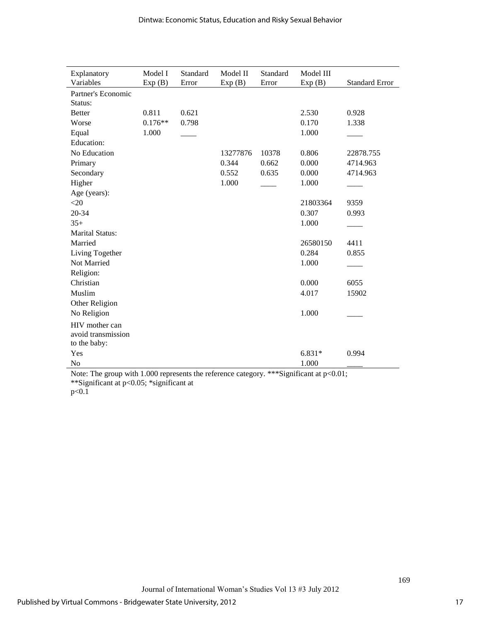| Explanatory            | Model I   | Standard | Model II | Standard | Model III |                       |
|------------------------|-----------|----------|----------|----------|-----------|-----------------------|
| Variables              | Exp(B)    | Error    | Exp(B)   | Error    | Exp(B)    | <b>Standard Error</b> |
| Partner's Economic     |           |          |          |          |           |                       |
| Status:                |           |          |          |          |           |                       |
| <b>Better</b>          | 0.811     | 0.621    |          |          | 2.530     | 0.928                 |
| Worse                  | $0.176**$ | 0.798    |          |          | 0.170     | 1.338                 |
| Equal                  | 1.000     |          |          |          | 1.000     |                       |
| <b>Education:</b>      |           |          |          |          |           |                       |
| No Education           |           |          | 13277876 | 10378    | 0.806     | 22878.755             |
| Primary                |           |          | 0.344    | 0.662    | 0.000     | 4714.963              |
| Secondary              |           |          | 0.552    | 0.635    | 0.000     | 4714.963              |
| Higher                 |           |          | 1.000    |          | 1.000     |                       |
| Age (years):           |           |          |          |          |           |                       |
| <20                    |           |          |          |          | 21803364  | 9359                  |
| 20-34                  |           |          |          |          | 0.307     | 0.993                 |
| $35+$                  |           |          |          |          | 1.000     |                       |
| <b>Marital Status:</b> |           |          |          |          |           |                       |
| Married                |           |          |          |          | 26580150  | 4411                  |
| Living Together        |           |          |          |          | 0.284     | 0.855                 |
| Not Married            |           |          |          |          | 1.000     |                       |
| Religion:              |           |          |          |          |           |                       |
| Christian              |           |          |          |          | 0.000     | 6055                  |
| Muslim                 |           |          |          |          | 4.017     | 15902                 |
| Other Religion         |           |          |          |          |           |                       |
| No Religion            |           |          |          |          | 1.000     |                       |
| HIV mother can         |           |          |          |          |           |                       |
| avoid transmission     |           |          |          |          |           |                       |
| to the baby:           |           |          |          |          |           |                       |
| Yes                    |           |          |          |          | $6.831*$  | 0.994                 |
| No                     |           |          |          |          | 1.000     |                       |

Note: The group with 1.000 represents the reference category. \*\*\*Significant at  $p<0.01$ ; \*\*Significant at p<0.05; \*significant at  $p < 0.1$